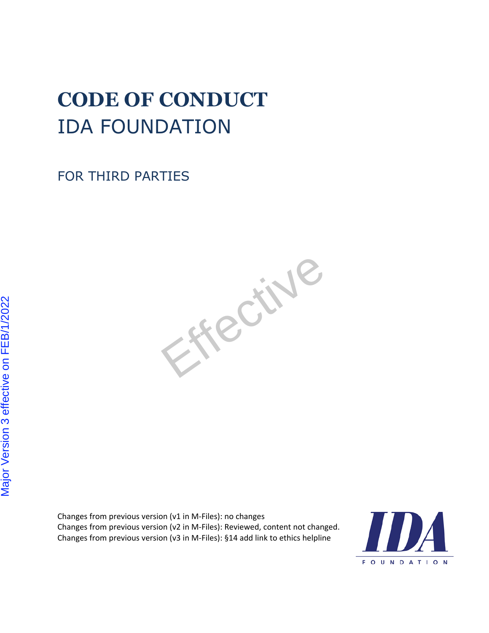# **CODE OF CONDUCT** IDA FOUNDATION

FOR THIRD PARTIES



Changes from previous version (v1 in M-Files): no changes Changes from previous version (v2 in M-Files): Reviewed, content not changed. Changes from previous version (v3 in M-Files): §14 add link to ethics helpline

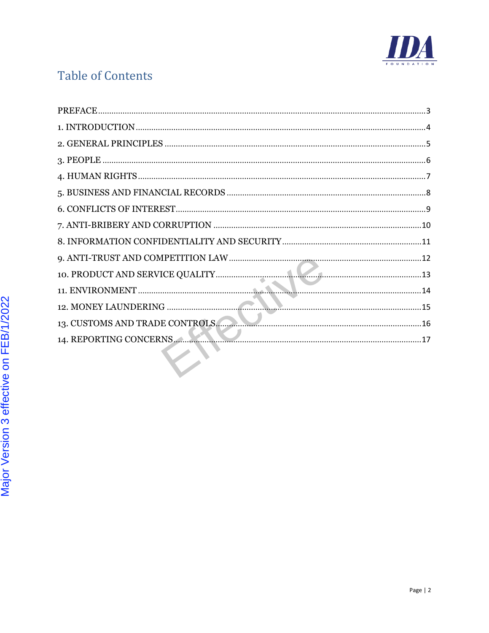

# **Table of Contents**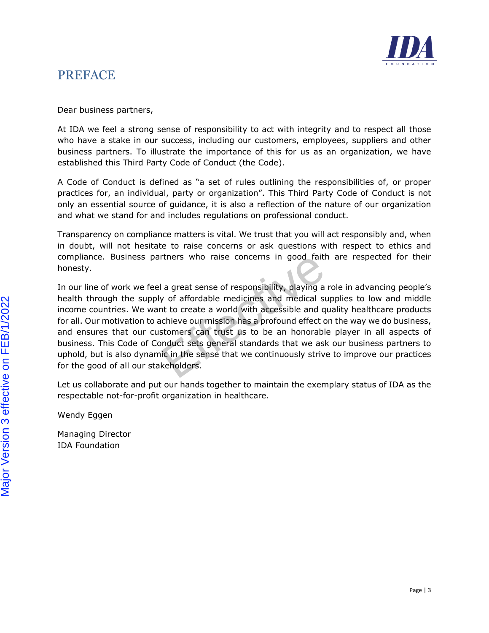

#### <span id="page-2-0"></span>**PREFACE**

Dear business partners,

At IDA we feel a strong sense of responsibility to act with integrity and to respect all those who have a stake in our success, including our customers, employees, suppliers and other business partners. To illustrate the importance of this for us as an organization, we have established this Third Party Code of Conduct (the Code).

A Code of Conduct is defined as "a set of rules outlining the responsibilities of, or proper practices for, an individual, party or organization". This Third Party Code of Conduct is not only an essential source of guidance, it is also a reflection of the nature of our organization and what we stand for and includes regulations on professional conduct.

Transparency on compliance matters is vital. We trust that you will act responsibly and, when in doubt, will not hesitate to raise concerns or ask questions with respect to ethics and compliance. Business partners who raise concerns in good faith are respected for their honesty.

Duartners who raise concerns in good faith<br>the dalayer are of responsibility, playing a reply of affordable medicines and medical sup<br>ant to create a world with accessible and qui<br>achieve our mission has a profound effect In our line of work we feel a great sense of responsibility, playing a role in advancing people's health through the supply of affordable medicines and medical supplies to low and middle income countries. We want to create a world with accessible and quality healthcare products for all. Our motivation to achieve our mission has a profound effect on the way we do business, and ensures that our customers can trust us to be an honorable player in all aspects of business. This Code of Conduct sets general standards that we ask our business partners to uphold, but is also dynamic in the sense that we continuously strive to improve our practices for the good of all our stakeholders.

Let us collaborate and put our hands together to maintain the exemplary status of IDA as the respectable not-for-profit organization in healthcare.

Wendy Eggen

Managing Director IDA Foundation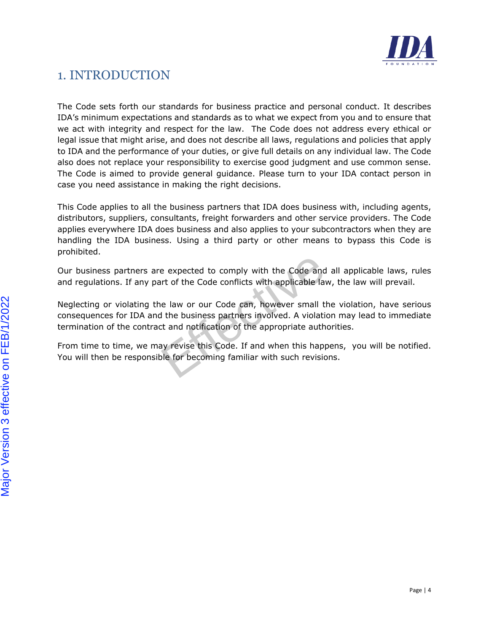

# <span id="page-3-0"></span>1. INTRODUCTION

The Code sets forth our standards for business practice and personal conduct. It describes IDA's minimum expectations and standards as to what we expect from you and to ensure that we act with integrity and respect for the law. The Code does not address every ethical or legal issue that might arise, and does not describe all laws, regulations and policies that apply to IDA and the performance of your duties, or give full details on any individual law. The Code also does not replace your responsibility to exercise good judgment and use common sense. The Code is aimed to provide general guidance. Please turn to your IDA contact person in case you need assistance in making the right decisions.

This Code applies to all the business partners that IDA does business with, including agents, distributors, suppliers, consultants, freight forwarders and other service providers. The Code applies everywhere IDA does business and also applies to your subcontractors when they are handling the IDA business. Using a third party or other means to bypass this Code is prohibited.

Our business partners are expected to comply with the Code and all applicable laws, rules and regulations. If any part of the Code conflicts with applicable law, the law will prevail.

are expected to comply with the Code and a<br>part of the Code conflicts with applicable law<br>the law or our Code can, however small the<br>nd the business partners involved. A violation<br>act and notification of the appropriate au Neglecting or violating the law or our Code can, however small the violation, have serious consequences for IDA and the business partners involved. A violation may lead to immediate termination of the contract and notification of the appropriate authorities.

From time to time, we may revise this Code. If and when this happens, you will be notified. You will then be responsible for becoming familiar with such revisions.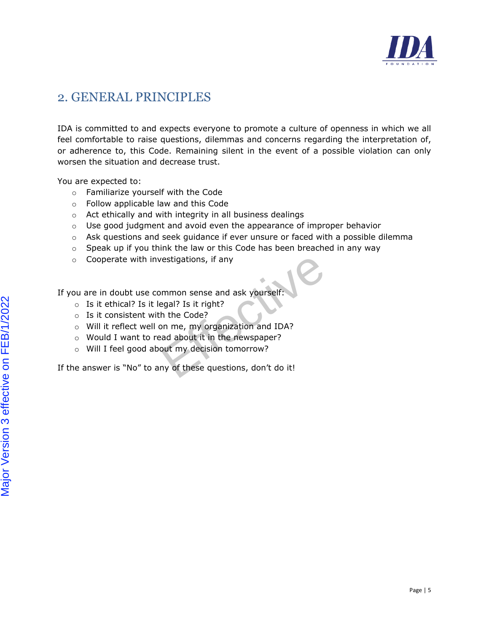

#### <span id="page-4-0"></span>2. GENERAL PRINCIPLES

IDA is committed to and expects everyone to promote a culture of openness in which we all feel comfortable to raise questions, dilemmas and concerns regarding the interpretation of, or adherence to, this Code. Remaining silent in the event of a possible violation can only worsen the situation and decrease trust.

You are expected to:

- o Familiarize yourself with the Code
- o Follow applicable law and this Code
- o Act ethically and with integrity in all business dealings
- $\circ$  Use good judgment and avoid even the appearance of improper behavior
- o Ask questions and seek guidance if ever unsure or faced with a possible dilemma
- $\circ$  Speak up if you think the law or this Code has been breached in any way
- o Cooperate with investigations, if any

If you are in doubt use common sense and ask yourself:

- o Is it ethical? Is it legal? Is it right?
- o Is it consistent with the Code?
- Frame the taw of this code has seen steamed<br>nvestigations, if any<br>common sense and ask yourself:<br><br>legal? Is it right?<br>ith the Code?<br>I on me, my organization and IDA?<br>read about it in the newspaper?<br>bout my decision tomorro o Will it reflect well on me, my organization and IDA?
- o Would I want to read about it in the newspaper?
- o Will I feel good about my decision tomorrow?

If the answer is "No" to any of these questions, don't do it!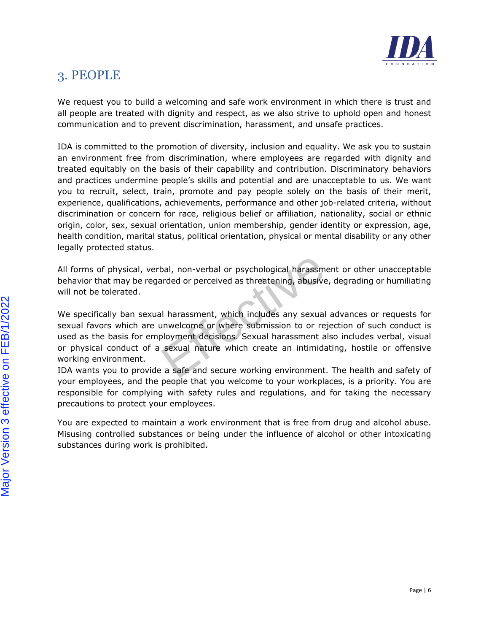

# <span id="page-5-0"></span>3. PEOPLE

We request you to build a welcoming and safe work environment in which there is trust and all people are treated with dignity and respect, as we also strive to uphold open and honest communication and to prevent discrimination, harassment, and unsafe practices.

IDA is committed to the promotion of diversity, inclusion and equality. We ask you to sustain an environment free from discrimination, where employees are regarded with dignity and treated equitably on the basis of their capability and contribution. Discriminatory behaviors and practices undermine people's skills and potential and are unacceptable to us. We want you to recruit, select, train, promote and pay people solely on the basis of their merit, experience, qualifications, achievements, performance and other job-related criteria, without discrimination or concern for race, religious belief or affiliation, nationality, social or ethnic origin, color, sex, sexual orientation, union membership, gender identity or expression, age, health condition, marital status, political orientation, physical or mental disability or any other legally protected status.

All forms of physical, verbal, non-verbal or psychological harassment or other unacceptable behavior that may be regarded or perceived as threatening, abusive, degrading or humiliating will not be tolerated.

erbal, non-verbal or psychological harassmer<br>garded or perceived as threatening, abusive,<br>later abusive,<br>and harassment, which includes any sexual a<br>exual harassment decisions. Sexual harassment als<br>a sexual nature which c We specifically ban sexual harassment, which includes any sexual advances or requests for sexual favors which are unwelcome or where submission to or rejection of such conduct is used as the basis for employment decisions. Sexual harassment also includes verbal, visual or physical conduct of a sexual nature which create an intimidating, hostile or offensive working environment.

IDA wants you to provide a safe and secure working environment. The health and safety of your employees, and the people that you welcome to your workplaces, is a priority*.* You are responsible for complying with safety rules and regulations, and for taking the necessary precautions to protect your employees.

You are expected to maintain a work environment that is free from drug and alcohol abuse. Misusing controlled substances or being under the influence of alcohol or other intoxicating substances during work is prohibited.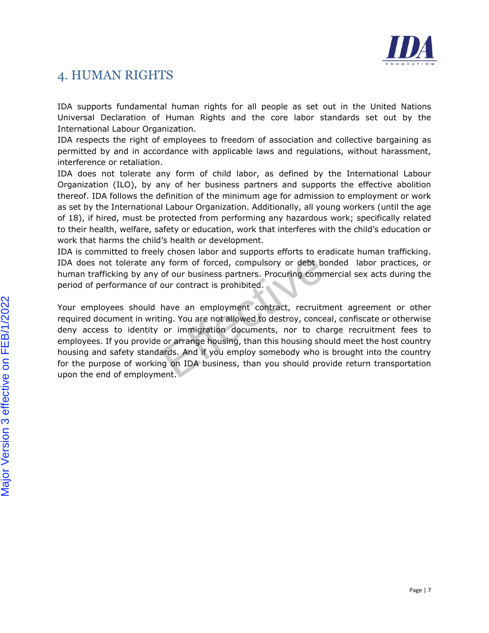

# <span id="page-6-0"></span>4. HUMAN RIGHTS

IDA supports fundamental human rights for all people as set out in the United Nations Universal Declaration of Human Rights and the core labor standards set out by the International Labour Organization.

IDA respects the right of employees to freedom of association and collective bargaining as permitted by and in accordance with applicable laws and regulations, without harassment, interference or retaliation.

IDA does not tolerate any form of child labor, as defined by the International Labour Organization (ILO), by any of her business partners and supports the effective abolition thereof. IDA follows the definition of the minimum age for admission to employment or work as set by the International Labour Organization. Additionally, all young workers (until the age of 18), if hired, must be protected from performing any hazardous work; specifically related to their health, welfare, safety or education, work that interferes with the child's education or work that harms the child's health or development.

IDA is committed to freely chosen labor and supports efforts to eradicate human trafficking. IDA does not tolerate any form of forced, compulsory or debt bonded labor practices, or human trafficking by any of our business partners. Procuring commercial sex acts during the period of performance of our contract is prohibited.

ely chosen labor and supports efforts to eraction<br>any form of forced, compulsory or debt bor<br>y of our business partners. Procuring comme<br>of our contract is prohibited.<br>I have an employment contract, recruitme<br>riting. You a Your employees should have an employment contract, recruitment agreement or other required document in writing. You are not allowed to destroy, conceal, confiscate or otherwise deny access to identity or immigration documents, nor to charge recruitment fees to employees. If you provide or arrange housing, than this housing should meet the host country housing and safety standards. And if you employ somebody who is brought into the country for the purpose of working on IDA business, than you should provide return transportation upon the end of employment.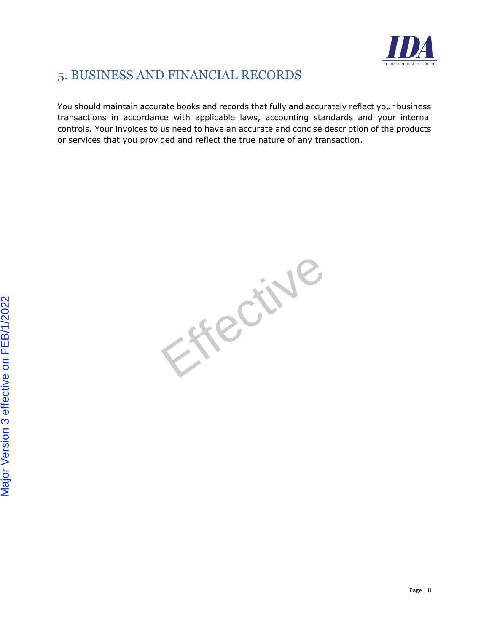

# <span id="page-7-0"></span>5. BUSINESS AND FINANCIAL RECORDS

You should maintain accurate books and records that fully and accurately reflect your business transactions in accordance with applicable laws, accounting standards and your internal controls. Your invoices to us need to have an accurate and concise description of the products or services that you provided and reflect the true nature of any transaction.

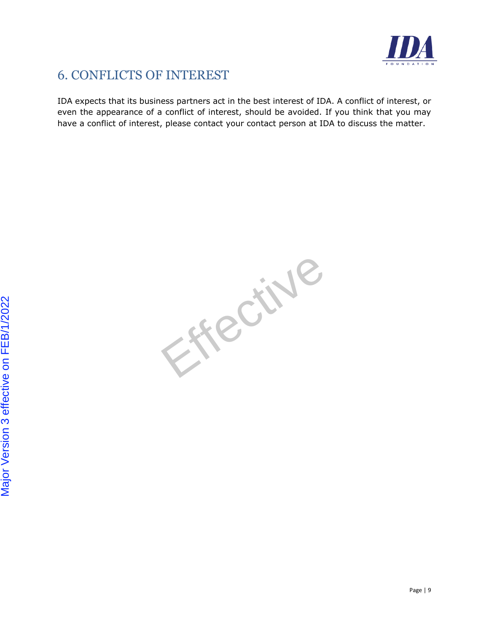

# <span id="page-8-0"></span>6. CONFLICTS OF INTEREST

IDA expects that its business partners act in the best interest of IDA. A conflict of interest, or even the appearance of a conflict of interest, should be avoided. If you think that you may have a conflict of interest, please contact your contact person at IDA to discuss the matter.

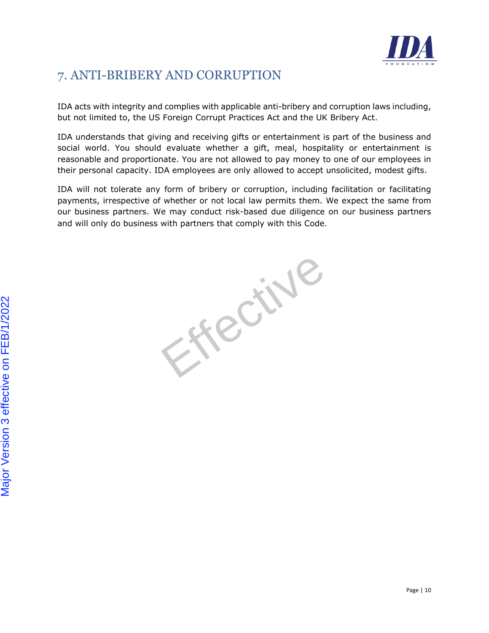

# <span id="page-9-0"></span>7. ANTI-BRIBERY AND CORRUPTION

IDA acts with integrity and complies with applicable anti-bribery and corruption laws including, but not limited to, the US Foreign Corrupt Practices Act and the UK Bribery Act.

IDA understands that giving and receiving gifts or entertainment is part of the business and social world. You should evaluate whether a gift, meal, hospitality or entertainment is reasonable and proportionate. You are not allowed to pay money to one of our employees in their personal capacity. IDA employees are only allowed to accept unsolicited, modest gifts.

IDA will not tolerate any form of bribery or corruption, including facilitation or facilitating payments, irrespective of whether or not local law permits them. We expect the same from our business partners. We may conduct risk-based due diligence on our business partners and will only do business with partners that comply with this Code.

Process!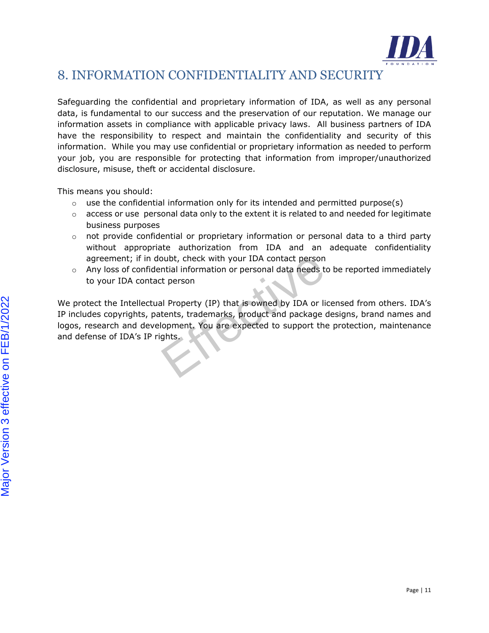

### <span id="page-10-0"></span>8. INFORMATION CONFIDENTIALITY AND SECURITY

Safeguarding the confidential and proprietary information of IDA, as well as any personal data, is fundamental to our success and the preservation of our reputation. We manage our information assets in compliance with applicable privacy laws. All business partners of IDA have the responsibility to respect and maintain the confidentiality and security of this information. While you may use confidential or proprietary information as needed to perform your job, you are responsible for protecting that information from improper/unauthorized disclosure, misuse, theft or accidental disclosure.

This means you should:

- $\circ$  use the confidential information only for its intended and permitted purpose(s)
- $\circ$  access or use personal data only to the extent it is related to and needed for legitimate business purposes
- $\circ$  not provide confidential or proprietary information or personal data to a third party without appropriate authorization from IDA and an adequate confidentiality agreement; if in doubt, check with your IDA contact person
- o Any loss of confidential information or personal data needs to be reported immediately to your IDA contact person

The Coupt, check with your IDA contact person<br>dential information or personal data needs to<br>act person<br>ual Property (IP) that is owned by IDA or lice<br>batents, trademarks, product and package de<br>velopment. You are expected We protect the Intellectual Property (IP) that is owned by IDA or licensed from others. IDA's IP includes copyrights, patents, trademarks, product and package designs, brand names and logos, research and development. You are expected to support the protection, maintenance and defense of IDA's IP rights.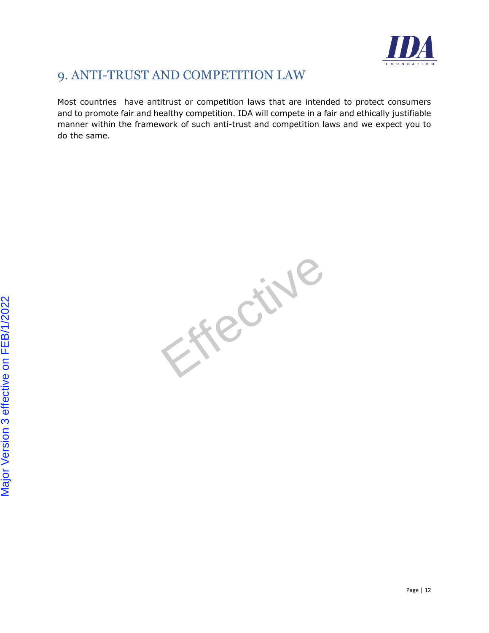

# <span id="page-11-0"></span>9. ANTI-TRUST AND COMPETITION LAW

Most countries have antitrust or competition laws that are intended to protect consumers and to promote fair and healthy competition. IDA will compete in a fair and ethically justifiable manner within the framework of such anti-trust and competition laws and we expect you to do the same.

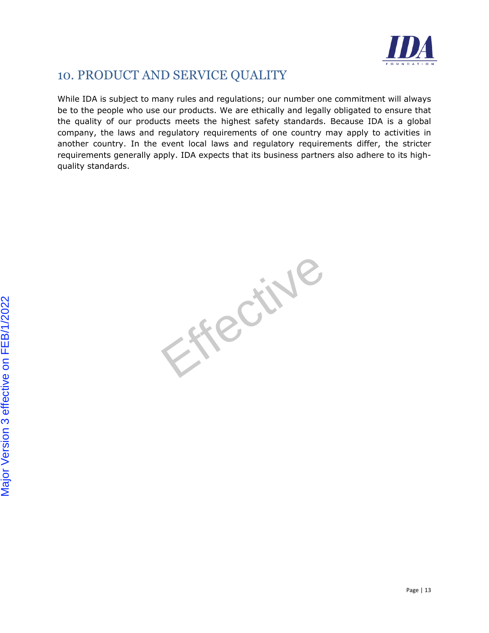

#### <span id="page-12-0"></span>10. PRODUCT AND SERVICE QUALITY

While IDA is subject to many rules and regulations; our number one commitment will always be to the people who use our products. We are ethically and legally obligated to ensure that the quality of our products meets the highest safety standards. Because IDA is a global company, the laws and regulatory requirements of one country may apply to activities in another country. In the event local laws and regulatory requirements differ, the stricter requirements generally apply. IDA expects that its business partners also adhere to its highquality standards.

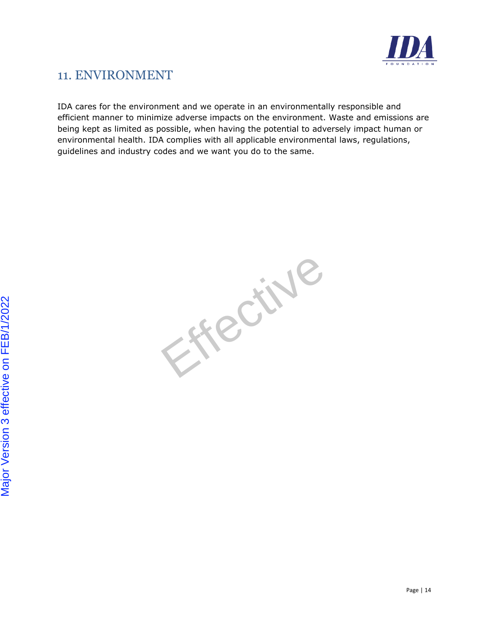

# <span id="page-13-0"></span>11. ENVIRONMENT

IDA cares for the environment and we operate in an environmentally responsible and efficient manner to minimize adverse impacts on the environment. Waste and emissions are being kept as limited as possible, when having the potential to adversely impact human or environmental health. IDA complies with all applicable environmental laws, regulations, guidelines and industry codes and we want you do to the same.

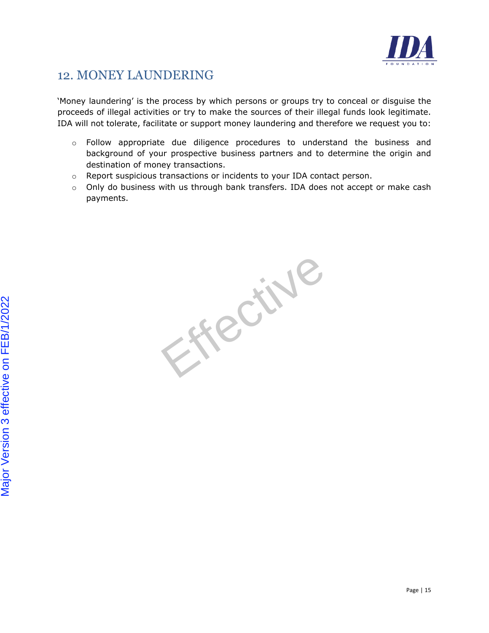![](_page_14_Picture_0.jpeg)

#### <span id="page-14-0"></span>12. MONEY LAUNDERING

'Money laundering' is the process by which persons or groups try to conceal or disguise the proceeds of illegal activities or try to make the sources of their illegal funds look legitimate. IDA will not tolerate, facilitate or support money laundering and therefore we request you to:

- $\circ$  Follow appropriate due diligence procedures to understand the business and background of your prospective business partners and to determine the origin and destination of money transactions.
- o Report suspicious transactions or incidents to your IDA contact person.
- o Only do business with us through bank transfers. IDA does not accept or make cash payments.

Process!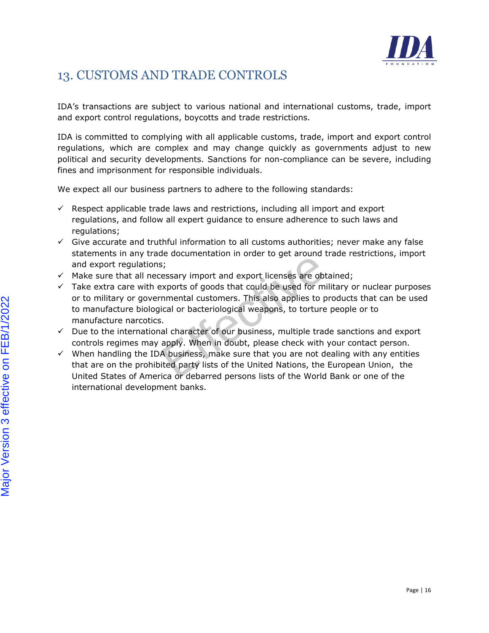![](_page_15_Picture_0.jpeg)

# <span id="page-15-0"></span>13. CUSTOMS AND TRADE CONTROLS

IDA's transactions are subject to various national and international customs, trade, import and export control regulations, boycotts and trade restrictions.

IDA is committed to complying with all applicable customs, trade, import and export control regulations, which are complex and may change quickly as governments adjust to new political and security developments. Sanctions for non-compliance can be severe, including fines and imprisonment for responsible individuals.

We expect all our business partners to adhere to the following standards:

- $\checkmark$  Respect applicable trade laws and restrictions, including all import and export regulations, and follow all expert guidance to ensure adherence to such laws and regulations:
- $\checkmark$  Give accurate and truthful information to all customs authorities; never make any false statements in any trade documentation in order to get around trade restrictions, import and export regulations;
- $\checkmark$  Make sure that all necessary import and export licenses are obtained;
- rade documentation in order to get around tr<br>ns;<br>ecessary import and export licenses are obta<br>nexports of goods that could be used for mili<br>ernmental customers. This also applies to pr<br>opgical or bacteriological weapons, t  $\checkmark$  Take extra care with exports of goods that could be used for military or nuclear purposes or to military or governmental customers. This also applies to products that can be used to manufacture biological or bacteriological weapons, to torture people or to manufacture narcotics.
- $\checkmark$  Due to the international character of our business, multiple trade sanctions and export controls regimes may apply. When in doubt, please check with your contact person.
- $\checkmark$  When handling the IDA business, make sure that you are not dealing with any entities that are on the prohibited party lists of the United Nations, the European Union, the United States of America or debarred persons lists of the World Bank or one of the international development banks.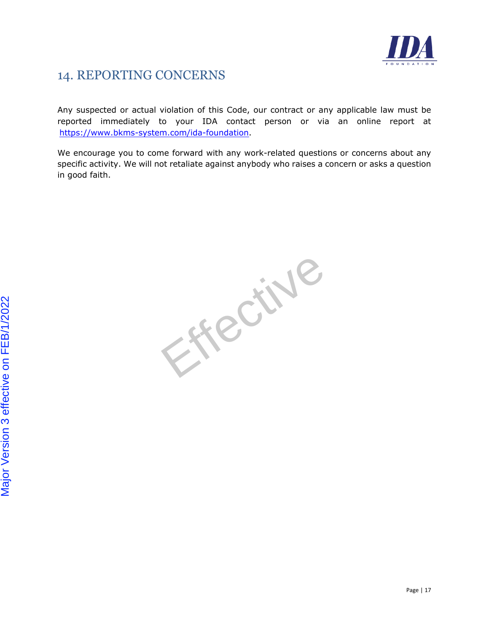![](_page_16_Picture_0.jpeg)

### <span id="page-16-0"></span>14. REPORTING CONCERNS

Any suspected or actual violation of this Code, our contract or any applicable law must be reported immediately to your IDA contact person or via an online report at [https://www.bkms-system.com/ida-foundation.](https://eur01.safelinks.protection.outlook.com/?url=https%3A%2F%2Fwww.bkms-system.com%2Fida-foundation&data=04%7C01%7Crnewinger%40idafoundation.org%7C026cb8e97e9b4626248308d9c082cc3c%7Cb4cdc9134d1a431fadabb21aa21928c8%7C0%7C0%7C637752490272691812%7CUnknown%7CTWFpbGZsb3d8eyJWIjoiMC4wLjAwMDAiLCJQIjoiV2luMzIiLCJBTiI6Ik1haWwiLCJXVCI6Mn0%3D%7C3000&sdata=MM7QikDzG8bbc9ufDO6pEyYQOXc%2BqaEP70u6kJ4sAZQ%3D&reserved=0)

We encourage you to come forward with any work-related questions or concerns about any specific activity. We will not retaliate against anybody who raises a concern or asks a question in good faith.

Oreen